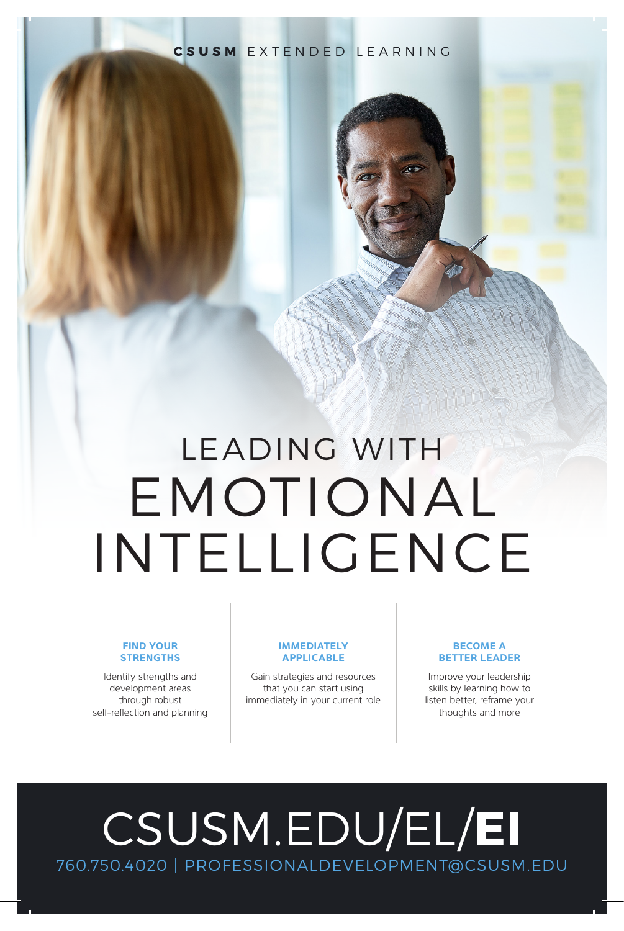# **CSUSM** EXTENDED LEARNING

# LEADING WITH EMOTIONAL INTELLIGENCE

### **FIND YOUR STRENGTHS**

Identify strengths and development areas through robust self-reflection and planning

#### **IMMEDIATELY APPLICABLE**

Gain strategies and resources that you can start using immediately in your current role

## **BECOME A BETTER LEADER**

Improve your leadership skills by learning how to listen better, reframe your thoughts and more

# [CSUSM.EDU/EL/](https://www.csusm.edu/el/programs/business/certemotionalintelligence/index.html)**EI** 760.750.4020 | PROFESSIONALDEVELOPMENT@CSUSM.EDU